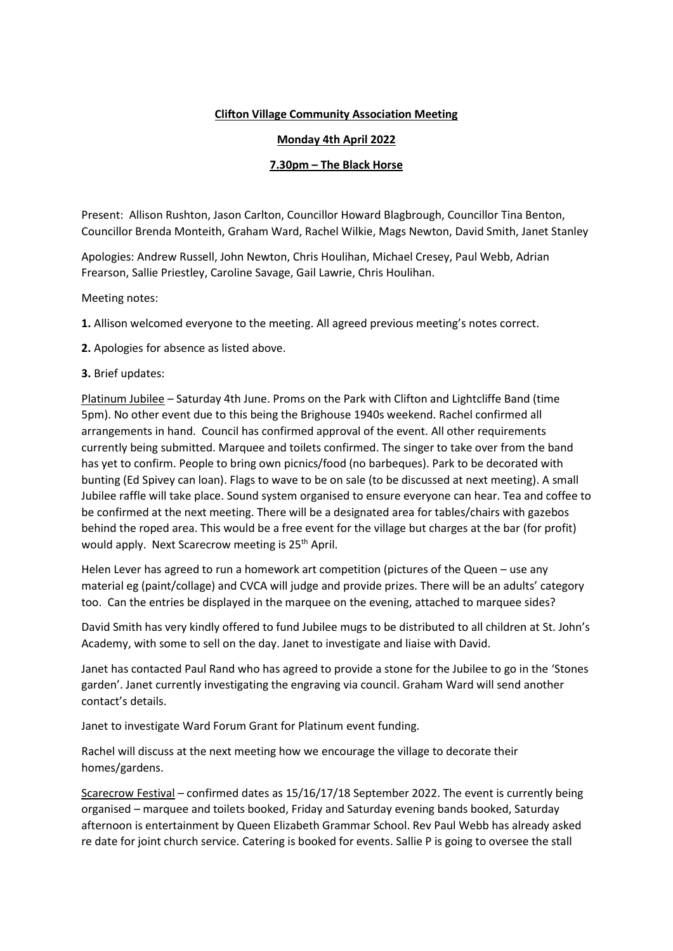## **Clifton Village Community Association Meeting**

## **Monday 4th April 2022**

## **7.30pm – The Black Horse**

Present: Allison Rushton, Jason Carlton, Councillor Howard Blagbrough, Councillor Tina Benton, Councillor Brenda Monteith, Graham Ward, Rachel Wilkie, Mags Newton, David Smith, Janet Stanley

Apologies: Andrew Russell, John Newton, Chris Houlihan, Michael Cresey, Paul Webb, Adrian Frearson, Sallie Priestley, Caroline Savage, Gail Lawrie, Chris Houlihan.

Meeting notes:

**1.** Allison welcomed everyone to the meeting. All agreed previous meeting's notes correct.

**2.** Apologies for absence as listed above.

## **3.** Brief updates:

Platinum Jubilee – Saturday 4th June. Proms on the Park with Clifton and Lightcliffe Band (time 5pm). No other event due to this being the Brighouse 1940s weekend. Rachel confirmed all arrangements in hand. Council has confirmed approval of the event. All other requirements currently being submitted. Marquee and toilets confirmed. The singer to take over from the band has yet to confirm. People to bring own picnics/food (no barbeques). Park to be decorated with bunting (Ed Spivey can loan). Flags to wave to be on sale (to be discussed at next meeting). A small Jubilee raffle will take place. Sound system organised to ensure everyone can hear. Tea and coffee to be confirmed at the next meeting. There will be a designated area for tables/chairs with gazebos behind the roped area. This would be a free event for the village but charges at the bar (for profit) would apply. Next Scarecrow meeting is 25<sup>th</sup> April.

Helen Lever has agreed to run a homework art competition (pictures of the Queen – use any material eg (paint/collage) and CVCA will judge and provide prizes. There will be an adults' category too. Can the entries be displayed in the marquee on the evening, attached to marquee sides?

David Smith has very kindly offered to fund Jubilee mugs to be distributed to all children at St. John's Academy, with some to sell on the day. Janet to investigate and liaise with David.

Janet has contacted Paul Rand who has agreed to provide a stone for the Jubilee to go in the 'Stones garden'. Janet currently investigating the engraving via council. Graham Ward will send another contact's details.

Janet to investigate Ward Forum Grant for Platinum event funding.

Rachel will discuss at the next meeting how we encourage the village to decorate their homes/gardens.

Scarecrow Festival – confirmed dates as 15/16/17/18 September 2022. The event is currently being organised – marquee and toilets booked, Friday and Saturday evening bands booked, Saturday afternoon is entertainment by Queen Elizabeth Grammar School. Rev Paul Webb has already asked re date for joint church service. Catering is booked for events. Sallie P is going to oversee the stall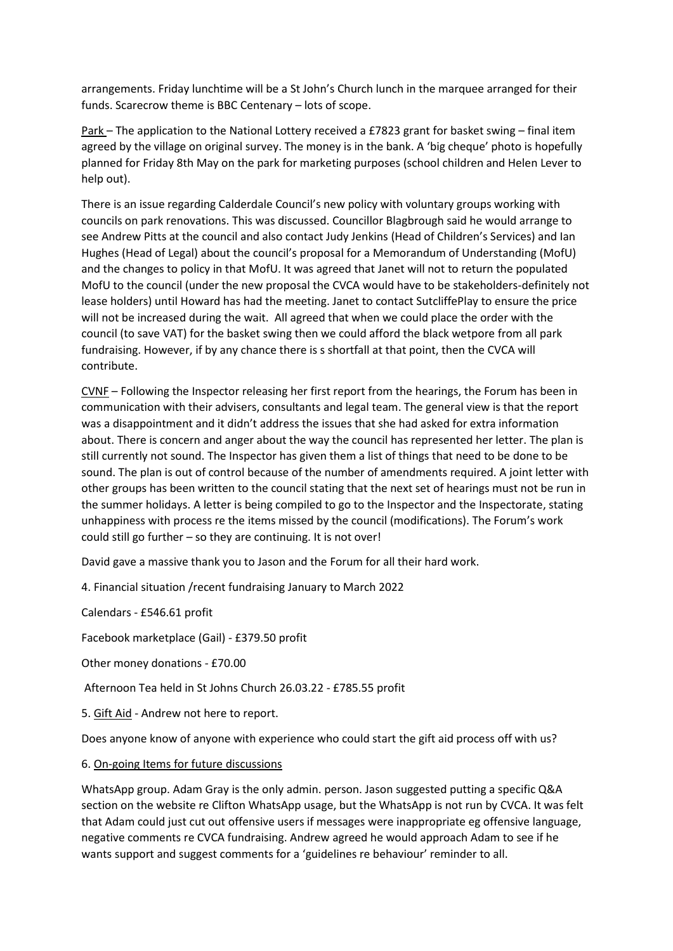arrangements. Friday lunchtime will be a St John's Church lunch in the marquee arranged for their funds. Scarecrow theme is BBC Centenary – lots of scope.

Park – The application to the National Lottery received a £7823 grant for basket swing – final item agreed by the village on original survey. The money is in the bank. A 'big cheque' photo is hopefully planned for Friday 8th May on the park for marketing purposes (school children and Helen Lever to help out).

There is an issue regarding Calderdale Council's new policy with voluntary groups working with councils on park renovations. This was discussed. Councillor Blagbrough said he would arrange to see Andrew Pitts at the council and also contact Judy Jenkins (Head of Children's Services) and Ian Hughes (Head of Legal) about the council's proposal for a Memorandum of Understanding (MofU) and the changes to policy in that MofU. It was agreed that Janet will not to return the populated MofU to the council (under the new proposal the CVCA would have to be stakeholders-definitely not lease holders) until Howard has had the meeting. Janet to contact SutcliffePlay to ensure the price will not be increased during the wait. All agreed that when we could place the order with the council (to save VAT) for the basket swing then we could afford the black wetpore from all park fundraising. However, if by any chance there is s shortfall at that point, then the CVCA will contribute.

CVNF – Following the Inspector releasing her first report from the hearings, the Forum has been in communication with their advisers, consultants and legal team. The general view is that the report was a disappointment and it didn't address the issues that she had asked for extra information about. There is concern and anger about the way the council has represented her letter. The plan is still currently not sound. The Inspector has given them a list of things that need to be done to be sound. The plan is out of control because of the number of amendments required. A joint letter with other groups has been written to the council stating that the next set of hearings must not be run in the summer holidays. A letter is being compiled to go to the Inspector and the Inspectorate, stating unhappiness with process re the items missed by the council (modifications). The Forum's work could still go further – so they are continuing. It is not over!

David gave a massive thank you to Jason and the Forum for all their hard work.

4. Financial situation /recent fundraising January to March 2022

Calendars - £546.61 profit

Facebook marketplace (Gail) - £379.50 profit

Other money donations - £70.00

Afternoon Tea held in St Johns Church 26.03.22 - £785.55 profit

5. Gift Aid - Andrew not here to report.

Does anyone know of anyone with experience who could start the gift aid process off with us?

6. On-going Items for future discussions

WhatsApp group. Adam Gray is the only admin. person. Jason suggested putting a specific Q&A section on the website re Clifton WhatsApp usage, but the WhatsApp is not run by CVCA. It was felt that Adam could just cut out offensive users if messages were inappropriate eg offensive language, negative comments re CVCA fundraising. Andrew agreed he would approach Adam to see if he wants support and suggest comments for a 'guidelines re behaviour' reminder to all.